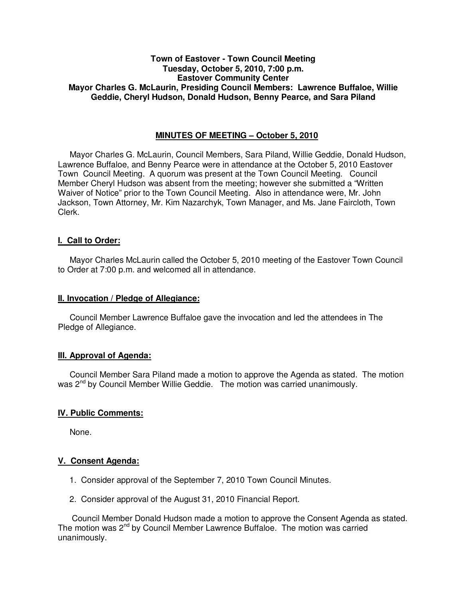# **Town of Eastover - Town Council Meeting Tuesday, October 5, 2010, 7:00 p.m. Eastover Community Center Mayor Charles G. McLaurin, Presiding Council Members: Lawrence Buffaloe, Willie Geddie, Cheryl Hudson, Donald Hudson, Benny Pearce, and Sara Piland**

# **MINUTES OF MEETING – October 5, 2010**

Mayor Charles G. McLaurin, Council Members, Sara Piland, Willie Geddie, Donald Hudson, Lawrence Buffaloe, and Benny Pearce were in attendance at the October 5, 2010 Eastover Town Council Meeting. A quorum was present at the Town Council Meeting. Council Member Cheryl Hudson was absent from the meeting; however she submitted a "Written Waiver of Notice" prior to the Town Council Meeting. Also in attendance were, Mr. John Jackson, Town Attorney, Mr. Kim Nazarchyk, Town Manager, and Ms. Jane Faircloth, Town Clerk.

# **I. Call to Order:**

Mayor Charles McLaurin called the October 5, 2010 meeting of the Eastover Town Council to Order at 7:00 p.m. and welcomed all in attendance.

## **II. Invocation / Pledge of Allegiance:**

 Council Member Lawrence Buffaloe gave the invocation and led the attendees in The Pledge of Allegiance.

# **III. Approval of Agenda:**

 Council Member Sara Piland made a motion to approve the Agenda as stated. The motion was 2<sup>nd</sup> by Council Member Willie Geddie. The motion was carried unanimously.

# **IV. Public Comments:**

None.

# **V. Consent Agenda:**

- 1. Consider approval of the September 7, 2010 Town Council Minutes.
- 2. Consider approval of the August 31, 2010 Financial Report.

 Council Member Donald Hudson made a motion to approve the Consent Agenda as stated. The motion was  $2^{nd}$  by Council Member Lawrence Buffaloe. The motion was carried unanimously.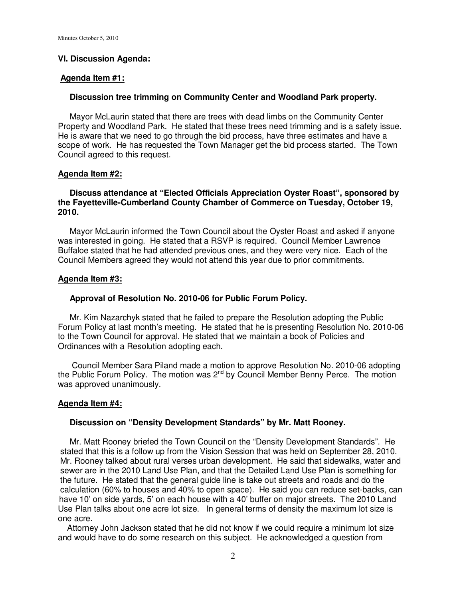## **VI. Discussion Agenda:**

#### **Agenda Item #1:**

### **Discussion tree trimming on Community Center and Woodland Park property.**

 Mayor McLaurin stated that there are trees with dead limbs on the Community Center Property and Woodland Park. He stated that these trees need trimming and is a safety issue. He is aware that we need to go through the bid process, have three estimates and have a scope of work. He has requested the Town Manager get the bid process started. The Town Council agreed to this request.

### **Agenda Item #2:**

# **Discuss attendance at "Elected Officials Appreciation Oyster Roast", sponsored by the Fayetteville-Cumberland County Chamber of Commerce on Tuesday, October 19, 2010.**

 Mayor McLaurin informed the Town Council about the Oyster Roast and asked if anyone was interested in going. He stated that a RSVP is required. Council Member Lawrence Buffaloe stated that he had attended previous ones, and they were very nice. Each of the Council Members agreed they would not attend this year due to prior commitments.

### **Agenda Item #3:**

## **Approval of Resolution No. 2010-06 for Public Forum Policy.**

 Mr. Kim Nazarchyk stated that he failed to prepare the Resolution adopting the Public Forum Policy at last month's meeting. He stated that he is presenting Resolution No. 2010-06 to the Town Council for approval. He stated that we maintain a book of Policies and Ordinances with a Resolution adopting each.

 Council Member Sara Piland made a motion to approve Resolution No. 2010-06 adopting the Public Forum Policy. The motion was  $2^{nd}$  by Council Member Benny Perce. The motion was approved unanimously.

#### **Agenda Item #4:**

### **Discussion on "Density Development Standards" by Mr. Matt Rooney.**

 Mr. Matt Rooney briefed the Town Council on the "Density Development Standards". He stated that this is a follow up from the Vision Session that was held on September 28, 2010. Mr. Rooney talked about rural verses urban development. He said that sidewalks, water and sewer are in the 2010 Land Use Plan, and that the Detailed Land Use Plan is something for the future. He stated that the general guide line is take out streets and roads and do the calculation (60% to houses and 40% to open space). He said you can reduce set-backs, can have 10' on side yards, 5' on each house with a 40' buffer on major streets. The 2010 Land Use Plan talks about one acre lot size. In general terms of density the maximum lot size is one acre.

 Attorney John Jackson stated that he did not know if we could require a minimum lot size and would have to do some research on this subject. He acknowledged a question from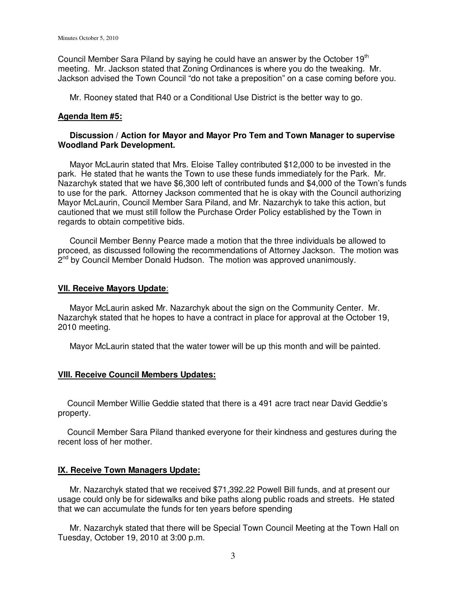Council Member Sara Piland by saying he could have an answer by the October 19<sup>th</sup> meeting. Mr. Jackson stated that Zoning Ordinances is where you do the tweaking. Mr. Jackson advised the Town Council "do not take a preposition" on a case coming before you.

Mr. Rooney stated that R40 or a Conditional Use District is the better way to go.

#### **Agenda Item #5:**

# **Discussion / Action for Mayor and Mayor Pro Tem and Town Manager to supervise Woodland Park Development.**

 Mayor McLaurin stated that Mrs. Eloise Talley contributed \$12,000 to be invested in the park. He stated that he wants the Town to use these funds immediately for the Park. Mr. Nazarchyk stated that we have \$6,300 left of contributed funds and \$4,000 of the Town's funds to use for the park. Attorney Jackson commented that he is okay with the Council authorizing Mayor McLaurin, Council Member Sara Piland, and Mr. Nazarchyk to take this action, but cautioned that we must still follow the Purchase Order Policy established by the Town in regards to obtain competitive bids.

 Council Member Benny Pearce made a motion that the three individuals be allowed to proceed, as discussed following the recommendations of Attorney Jackson. The motion was 2<sup>nd</sup> by Council Member Donald Hudson. The motion was approved unanimously.

#### **VII. Receive Mayors Update**:

 Mayor McLaurin asked Mr. Nazarchyk about the sign on the Community Center. Mr. Nazarchyk stated that he hopes to have a contract in place for approval at the October 19, 2010 meeting.

Mayor McLaurin stated that the water tower will be up this month and will be painted.

### **VIII. Receive Council Members Updates:**

 Council Member Willie Geddie stated that there is a 491 acre tract near David Geddie's property.

 Council Member Sara Piland thanked everyone for their kindness and gestures during the recent loss of her mother.

### **IX. Receive Town Managers Update:**

 Mr. Nazarchyk stated that we received \$71,392.22 Powell Bill funds, and at present our usage could only be for sidewalks and bike paths along public roads and streets. He stated that we can accumulate the funds for ten years before spending

 Mr. Nazarchyk stated that there will be Special Town Council Meeting at the Town Hall on Tuesday, October 19, 2010 at 3:00 p.m.